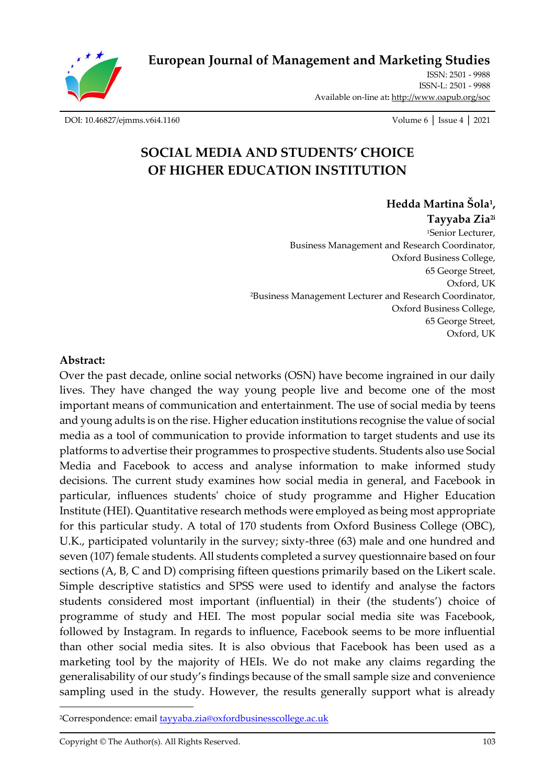

**[European Journal of Management and Marketing Studies](http://oapub.org/soc/index.php/EJMMS)**

[ISSN: 2501 -](http://oapub.org/soc/index.php/EJSSS) 9988 [ISSN-L: 2501 -](http://oapub.org/soc/index.php/EJSSS) 9988 Available on-line at**:** <http://www.oapub.org/soc>

[DOI: 10.46827/ejmms.v6i4.1160](http://dx.doi.org/10.46827/ejmms.v6i4.1160) Volume 6 │ Issue 4 │ 2021

## **SOCIAL MEDIA AND STUDENTS' CHOICE OF HIGHER EDUCATION INSTITUTION**

**Hedda Martina Šola<sup>1</sup> , Tayyaba Zia2i** <sup>1</sup>Senior Lecturer, Business Management and Research Coordinator, Oxford Business College, 65 George Street, Oxford, UK <sup>2</sup>Business Management Lecturer and Research Coordinator, Oxford Business College, 65 George Street, Oxford, UK

### **Abstract:**

Over the past decade, online social networks (OSN) have become ingrained in our daily lives. They have changed the way young people live and become one of the most important means of communication and entertainment. The use of social media by teens and young adults is on the rise. Higher education institutions recognise the value of social media as a tool of communication to provide information to target students and use its platforms to advertise their programmes to prospective students. Students also use Social Media and Facebook to access and analyse information to make informed study decisions. The current study examines how social media in general, and Facebook in particular, influences students' choice of study programme and Higher Education Institute (HEI). Quantitative research methods were employed as being most appropriate for this particular study. A total of 170 students from Oxford Business College (OBC), U.K., participated voluntarily in the survey; sixty-three (63) male and one hundred and seven (107) female students. All students completed a survey questionnaire based on four sections (A, B, C and D) comprising fifteen questions primarily based on the Likert scale. Simple descriptive statistics and SPSS were used to identify and analyse the factors students considered most important (influential) in their (the students') choice of programme of study and HEI. The most popular social media site was Facebook, followed by Instagram. In regards to influence, Facebook seems to be more influential than other social media sites. It is also obvious that Facebook has been used as a marketing tool by the majority of HEIs. We do not make any claims regarding the generalisability of our study's findings because of the small sample size and convenience sampling used in the study. However, the results generally support what is already

<sup>&</sup>lt;sup>2</sup>Correspondence: email **tayyaba.zia@oxfordbusinesscollege.ac.uk**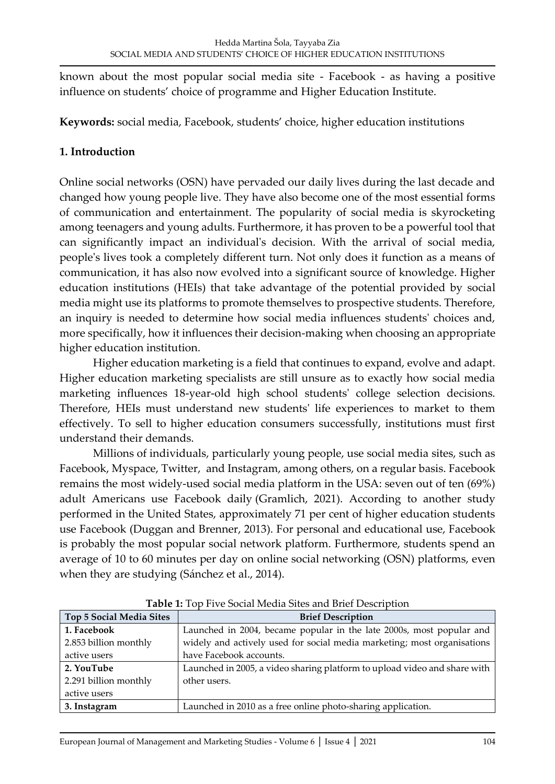known about the most popular social media site - Facebook - as having a positive influence on students' choice of programme and Higher Education Institute.

**Keywords:** social media, Facebook, students' choice, higher education institutions

## **1. Introduction**

Online social networks (OSN) have pervaded our daily lives during the last decade and changed how young people live. They have also become one of the most essential forms of communication and entertainment. The popularity of social media is skyrocketing among teenagers and young adults. Furthermore, it has proven to be a powerful tool that can significantly impact an individual's decision. With the arrival of social media, people's lives took a completely different turn. Not only does it function as a means of communication, it has also now evolved into a significant source of knowledge. Higher education institutions (HEIs) that take advantage of the potential provided by social media might use its platforms to promote themselves to prospective students. Therefore, an inquiry is needed to determine how social media influences students' choices and, more specifically, how it influences their decision-making when choosing an appropriate higher education institution.

Higher education marketing is a field that continues to expand, evolve and adapt. Higher education marketing specialists are still unsure as to exactly how social media marketing influences 18-year-old high school students' college selection decisions. Therefore, HEIs must understand new students' life experiences to market to them effectively. To sell to higher education consumers successfully, institutions must first understand their demands.

Millions of individuals, particularly young people, use social media sites, such as Facebook, Myspace, Twitter, and Instagram, among others, on a regular basis. Facebook remains the most widely-used social media platform in the USA: seven out of ten (69%) adult Americans use Facebook daily (Gramlich, 2021). According to another study performed in the United States, approximately 71 per cent of higher education students use Facebook (Duggan and Brenner, 2013). For personal and educational use, Facebook is probably the most popular social network platform. Furthermore, students spend an average of 10 to 60 minutes per day on online social networking (OSN) platforms, even when they are studying (Sánchez et al., 2014).

| <b>Top 5 Social Media Sites</b> | <b>Brief Description</b>                                                  |
|---------------------------------|---------------------------------------------------------------------------|
| 1. Facebook                     | Launched in 2004, became popular in the late 2000s, most popular and      |
| 2.853 billion monthly           | widely and actively used for social media marketing; most organisations   |
| active users                    | have Facebook accounts.                                                   |
| 2. YouTube                      | Launched in 2005, a video sharing platform to upload video and share with |
| 2.291 billion monthly           | other users.                                                              |
| active users                    |                                                                           |
| 3. Instagram                    | Launched in 2010 as a free online photo-sharing application.              |

**Table 1:** Top Five Social Media Sites and Brief Description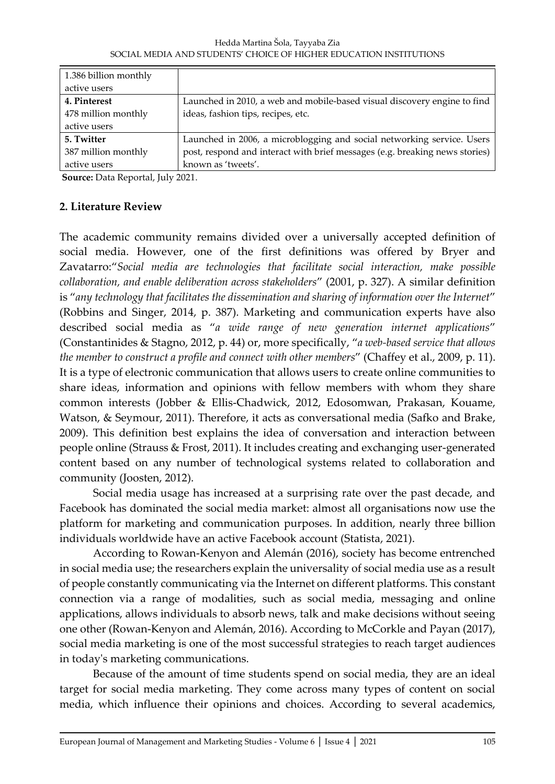| 1.386 billion monthly |                                                                             |
|-----------------------|-----------------------------------------------------------------------------|
| active users          |                                                                             |
| 4. Pinterest          | Launched in 2010, a web and mobile-based visual discovery engine to find    |
| 478 million monthly   | ideas, fashion tips, recipes, etc.                                          |
| active users          |                                                                             |
| 5. Twitter            | Launched in 2006, a microblogging and social networking service. Users      |
| 387 million monthly   | post, respond and interact with brief messages (e.g. breaking news stories) |
| active users          | known as 'tweets'.                                                          |

**Source:** Data Reportal, July 2021.

### **2. Literature Review**

The academic community remains divided over a universally accepted definition of social media. However, one of the first definitions was offered by Bryer and Zavatarro:"*Social media are technologies that facilitate social interaction, make possible collaboration, and enable deliberation across stakeholders*" (2001, p. 327). A similar definition is "*any technology that facilitates the dissemination and sharing of information over the Internet*" (Robbins and Singer, 2014, p. 387). Marketing and communication experts have also described social media as "*a wide range of new generation internet applications*" (Constantinides & Stagno, 2012, p. 44) or, more specifically, "*a web-based service that allows the member to construct a profile and connect with other members*" (Chaffey et al., 2009, p. 11). It is a type of electronic communication that allows users to create online communities to share ideas, information and opinions with fellow members with whom they share common interests (Jobber & Ellis-Chadwick, 2012, Edosomwan, Prakasan, Kouame, Watson, & Seymour, 2011). Therefore, it acts as conversational media (Safko and Brake, 2009). This definition best explains the idea of conversation and interaction between people online (Strauss & Frost, 2011). It includes creating and exchanging user-generated content based on any number of technological systems related to collaboration and community (Joosten, 2012).

Social media usage has increased at a surprising rate over the past decade, and Facebook has dominated the social media market: almost all organisations now use the platform for marketing and communication purposes. In addition, nearly three billion individuals worldwide have an active Facebook account (Statista, 2021).

According to Rowan-Kenyon and Alemán (2016), society has become entrenched in social media use; the researchers explain the universality of social media use as a result of people constantly communicating via the Internet on different platforms. This constant connection via a range of modalities, such as social media, messaging and online applications, allows individuals to absorb news, talk and make decisions without seeing one other (Rowan-Kenyon and Alemán, 2016). According to McCorkle and Payan (2017), social media marketing is one of the most successful strategies to reach target audiences in today's marketing communications.

Because of the amount of time students spend on social media, they are an ideal target for social media marketing. They come across many types of content on social media, which influence their opinions and choices. According to several academics,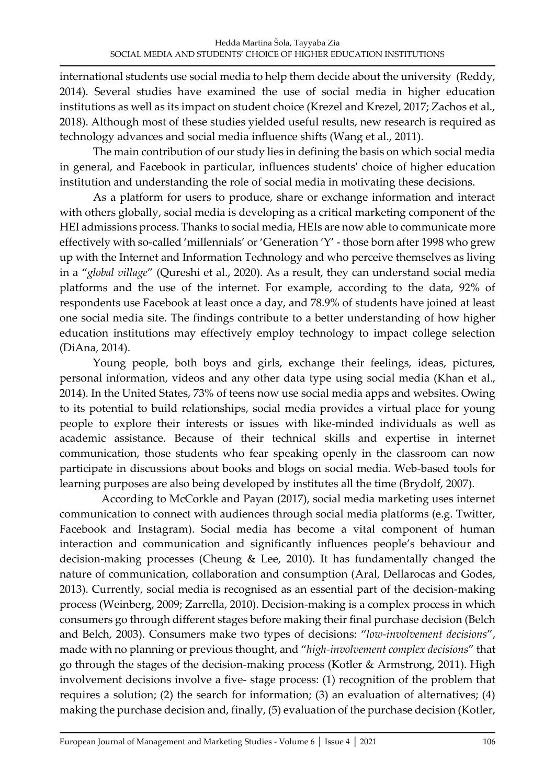international students use social media to help them decide about the university (Reddy, 2014). Several studies have examined the use of social media in higher education institutions as well as its impact on student choice (Krezel and Krezel, 2017; Zachos et al., 2018). Although most of these studies yielded useful results, new research is required as technology advances and social media influence shifts (Wang et al., 2011).

The main contribution of our study lies in defining the basis on which social media in general, and Facebook in particular, influences students' choice of higher education institution and understanding the role of social media in motivating these decisions.

As a platform for users to produce, share or exchange information and interact with others globally, social media is developing as a critical marketing component of the HEI admissions process. Thanks to social media, HEIs are now able to communicate more effectively with so-called 'millennials' or 'Generation 'Y' - those born after 1998 who grew up with the Internet and Information Technology and who perceive themselves as living in a "*global village*" (Qureshi et al., 2020). As a result, they can understand social media platforms and the use of the internet. For example, according to the data, 92% of respondents use Facebook at least once a day, and 78.9% of students have joined at least one social media site. The findings contribute to a better understanding of how higher education institutions may effectively employ technology to impact college selection (DiAna, 2014).

Young people, both boys and girls, exchange their feelings, ideas, pictures, personal information, videos and any other data type using social media (Khan et al., 2014). In the United States, 73% of teens now use social media apps and websites. Owing to its potential to build relationships, social media provides a virtual place for young people to explore their interests or issues with like-minded individuals as well as academic assistance. Because of their technical skills and expertise in internet communication, those students who fear speaking openly in the classroom can now participate in discussions about books and blogs on social media. Web-based tools for learning purposes are also being developed by institutes all the time (Brydolf, 2007).

 According to McCorkle and Payan (2017), social media marketing uses internet communication to connect with audiences through social media platforms (e.g. Twitter, Facebook and Instagram). Social media has become a vital component of human interaction and communication and significantly influences people's behaviour and decision-making processes (Cheung & Lee, 2010). It has fundamentally changed the nature of communication, collaboration and consumption (Aral, Dellarocas and Godes, 2013). Currently, social media is recognised as an essential part of the decision-making process (Weinberg, 2009; Zarrella, 2010). Decision-making is a complex process in which consumers go through different stages before making their final purchase decision (Belch and Belch, 2003). Consumers make two types of decisions: "*low-involvement decisions*", made with no planning or previous thought, and "*high-involvement complex decisions*" that go through the stages of the decision-making process (Kotler & Armstrong, 2011). High involvement decisions involve a five- stage process: (1) recognition of the problem that requires a solution; (2) the search for information; (3) an evaluation of alternatives; (4) making the purchase decision and, finally, (5) evaluation of the purchase decision (Kotler,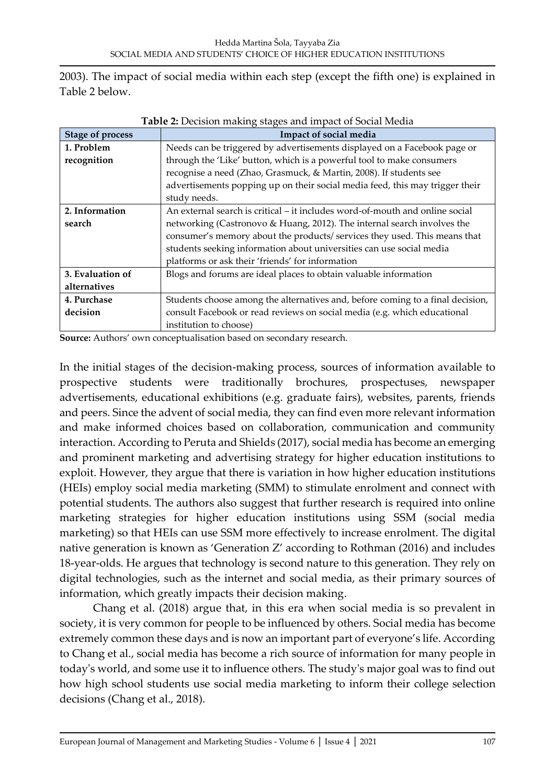2003). The impact of social media within each step (except the fifth one) is explained in Table 2 below.

| <b>Stage of process</b> | Impact of social media                                                         |
|-------------------------|--------------------------------------------------------------------------------|
| 1. Problem              | Needs can be triggered by advertisements displayed on a Facebook page or       |
| recognition             | through the 'Like' button, which is a powerful tool to make consumers          |
|                         | recognise a need (Zhao, Grasmuck, & Martin, 2008). If students see             |
|                         | advertisements popping up on their social media feed, this may trigger their   |
|                         | study needs.                                                                   |
| 2. Information          | An external search is critical – it includes word-of-mouth and online social   |
| search                  | networking (Castronovo & Huang, 2012). The internal search involves the        |
|                         | consumer's memory about the products/ services they used. This means that      |
|                         | students seeking information about universities can use social media           |
|                         | platforms or ask their 'friends' for information                               |
| 3. Evaluation of        | Blogs and forums are ideal places to obtain valuable information               |
| alternatives            |                                                                                |
| 4. Purchase             | Students choose among the alternatives and, before coming to a final decision, |
| decision                | consult Facebook or read reviews on social media (e.g. which educational       |
|                         | institution to choose)                                                         |

**Table 2:** Decision making stages and impact of Social Media

**Source:** Authors' own conceptualisation based on secondary research.

In the initial stages of the decision-making process, sources of information available to prospective students were traditionally brochures, prospectuses, newspaper advertisements, educational exhibitions (e.g. graduate fairs), websites, parents, friends and peers. Since the advent of social media, they can find even more relevant information and make informed choices based on collaboration, communication and community interaction. According to Peruta and Shields (2017), social media has become an emerging and prominent marketing and advertising strategy for higher education institutions to exploit. However, they argue that there is variation in how higher education institutions (HEIs) employ social media marketing (SMM) to stimulate enrolment and connect with potential students. The authors also suggest that further research is required into online marketing strategies for higher education institutions using SSM (social media marketing) so that HEIs can use SSM more effectively to increase enrolment. The digital native generation is known as 'Generation Z' according to Rothman (2016) and includes 18-year-olds. He argues that technology is second nature to this generation. They rely on digital technologies, such as the internet and social media, as their primary sources of information, which greatly impacts their decision making.

Chang et al. (2018) argue that, in this era when social media is so prevalent in society, it is very common for people to be influenced by others. Social media has become extremely common these days and is now an important part of everyone's life. According to Chang et al., social media has become a rich source of information for many people in today's world, and some use it to influence others. The study's major goal was to find out how high school students use social media marketing to inform their college selection decisions (Chang et al., 2018).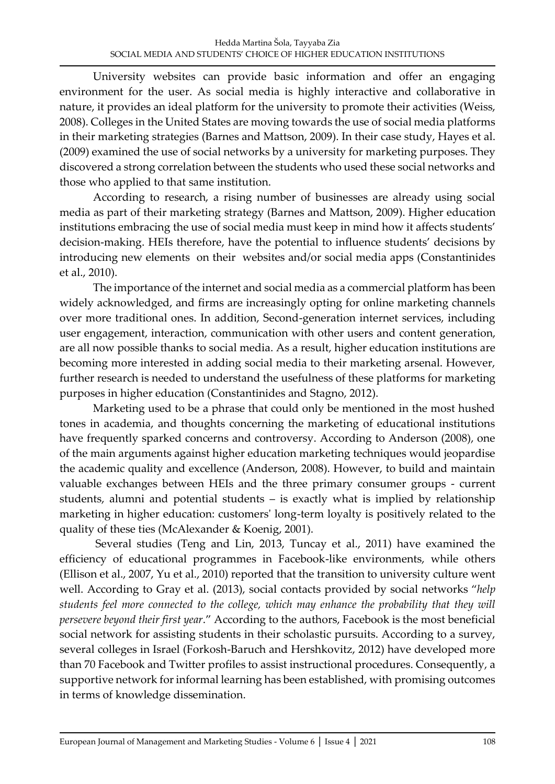University websites can provide basic information and offer an engaging environment for the user. As social media is highly interactive and collaborative in nature, it provides an ideal platform for the university to promote their activities (Weiss, 2008). Colleges in the United States are moving towards the use of social media platforms in their marketing strategies (Barnes and Mattson, 2009). In their case study, Hayes et al. (2009) examined the use of social networks by a university for marketing purposes. They discovered a strong correlation between the students who used these social networks and those who applied to that same institution.

According to research, a rising number of businesses are already using social media as part of their marketing strategy (Barnes and Mattson, 2009). Higher education institutions embracing the use of social media must keep in mind how it affects students' decision-making. HEIs therefore, have the potential to influence students' decisions by introducing new elements on their websites and/or social media apps (Constantinides et al., 2010).

The importance of the internet and social media as a commercial platform has been widely acknowledged, and firms are increasingly opting for online marketing channels over more traditional ones. In addition, Second-generation internet services, including user engagement, interaction, communication with other users and content generation, are all now possible thanks to social media. As a result, higher education institutions are becoming more interested in adding social media to their marketing arsenal. However, further research is needed to understand the usefulness of these platforms for marketing purposes in higher education (Constantinides and Stagno, 2012).

Marketing used to be a phrase that could only be mentioned in the most hushed tones in academia, and thoughts concerning the marketing of educational institutions have frequently sparked concerns and controversy. According to Anderson (2008), one of the main arguments against higher education marketing techniques would jeopardise the academic quality and excellence (Anderson, 2008). However, to build and maintain valuable exchanges between HEIs and the three primary consumer groups - current students, alumni and potential students – is exactly what is implied by relationship marketing in higher education: customers' long-term loyalty is positively related to the quality of these ties (McAlexander & Koenig, 2001).

Several studies (Teng and Lin, 2013, Tuncay et al., 2011) have examined the efficiency of educational programmes in Facebook-like environments, while others (Ellison et al., 2007, Yu et al., 2010) reported that the transition to university culture went well. According to Gray et al. (2013), social contacts provided by social networks "*help students feel more connected to the college, which may enhance the probability that they will persevere beyond their first year*." According to the authors, Facebook is the most beneficial social network for assisting students in their scholastic pursuits. According to a survey, several colleges in Israel (Forkosh-Baruch and Hershkovitz, 2012) have developed more than 70 Facebook and Twitter profiles to assist instructional procedures. Consequently, a supportive network for informal learning has been established, with promising outcomes in terms of knowledge dissemination.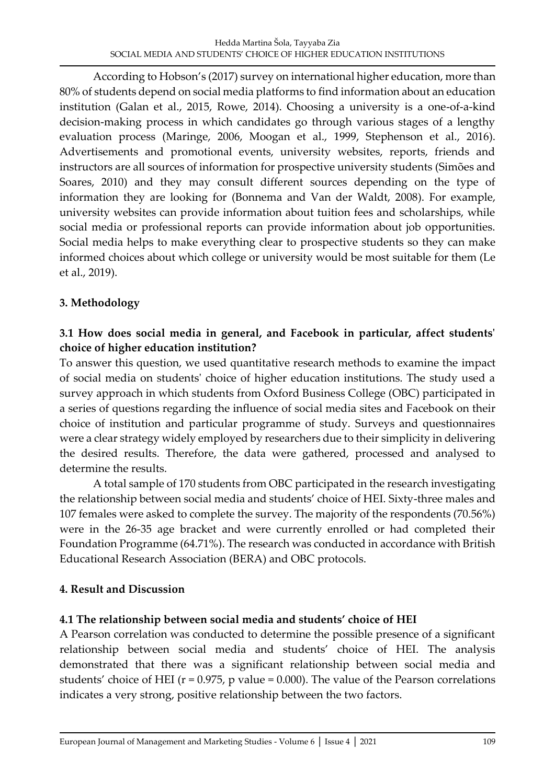According to Hobson's (2017) survey on international higher education, more than 80% of students depend on social media platforms to find information about an education institution (Galan et al., 2015, Rowe, 2014). Choosing a university is a one-of-a-kind decision-making process in which candidates go through various stages of a lengthy evaluation process (Maringe, 2006, Moogan et al., 1999, Stephenson et al., 2016). Advertisements and promotional events, university websites, reports, friends and instructors are all sources of information for prospective university students (Simões and Soares, 2010) and they may consult different sources depending on the type of information they are looking for (Bonnema and Van der Waldt, 2008). For example, university websites can provide information about tuition fees and scholarships, while social media or professional reports can provide information about job opportunities. Social media helps to make everything clear to prospective students so they can make informed choices about which college or university would be most suitable for them (Le et al., 2019).

## **3. Methodology**

## **3.1 How does social media in general, and Facebook in particular, affect students' choice of higher education institution?**

To answer this question, we used quantitative research methods to examine the impact of social media on students' choice of higher education institutions. The study used a survey approach in which students from Oxford Business College (OBC) participated in a series of questions regarding the influence of social media sites and Facebook on their choice of institution and particular programme of study. Surveys and questionnaires were a clear strategy widely employed by researchers due to their simplicity in delivering the desired results. Therefore, the data were gathered, processed and analysed to determine the results.

A total sample of 170 students from OBC participated in the research investigating the relationship between social media and students' choice of HEI. Sixty-three males and 107 females were asked to complete the survey. The majority of the respondents (70.56%) were in the 26-35 age bracket and were currently enrolled or had completed their Foundation Programme (64.71%). The research was conducted in accordance with British Educational Research Association (BERA) and OBC protocols.

### **4. Result and Discussion**

## **4.1 The relationship between social media and students' choice of HEI**

A Pearson correlation was conducted to determine the possible presence of a significant relationship between social media and students' choice of HEI. The analysis demonstrated that there was a significant relationship between social media and students' choice of HEI ( $r = 0.975$ ,  $p$  value = 0.000). The value of the Pearson correlations indicates a very strong, positive relationship between the two factors.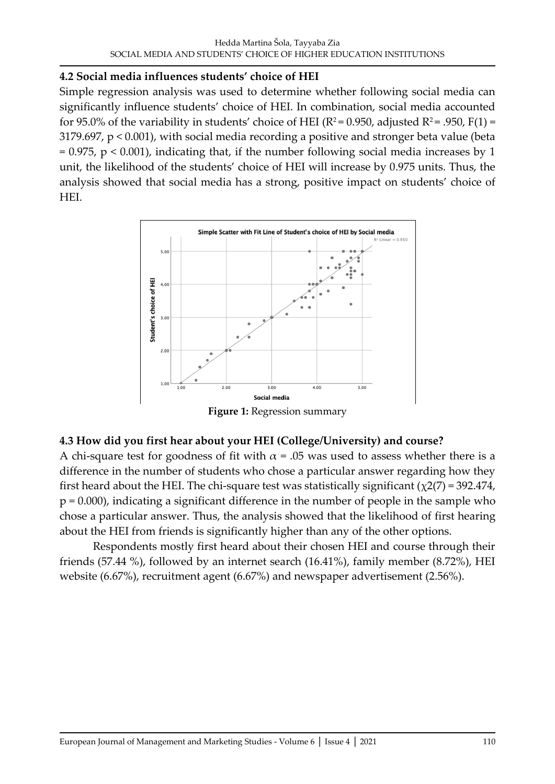### **4.2 Social media influences students' choice of HEI**

Simple regression analysis was used to determine whether following social media can significantly influence students' choice of HEI. In combination, social media accounted for 95.0% of the variability in students' choice of HEI ( $R^2$  = 0.950, adjusted  $R^2$  = .950, F(1) = 3179.697, p < 0.001), with social media recording a positive and stronger beta value (beta  $= 0.975$ ,  $p < 0.001$ ), indicating that, if the number following social media increases by 1 unit, the likelihood of the students' choice of HEI will increase by 0.975 units. Thus, the analysis showed that social media has a strong, positive impact on students' choice of HEI.



**Figure 1:** Regression summary

### **4.3 How did you first hear about your HEI (College/University) and course?**

A chi-square test for goodness of fit with  $\alpha$  = .05 was used to assess whether there is a difference in the number of students who chose a particular answer regarding how they first heard about the HEI. The chi-square test was statistically significant ( $\chi$ 2(7) = 392.474, p = 0.000), indicating a significant difference in the number of people in the sample who chose a particular answer. Thus, the analysis showed that the likelihood of first hearing about the HEI from friends is significantly higher than any of the other options.

Respondents mostly first heard about their chosen HEI and course through their friends (57.44 %), followed by an internet search (16.41%), family member (8.72%), HEI website (6.67%), recruitment agent (6.67%) and newspaper advertisement (2.56%).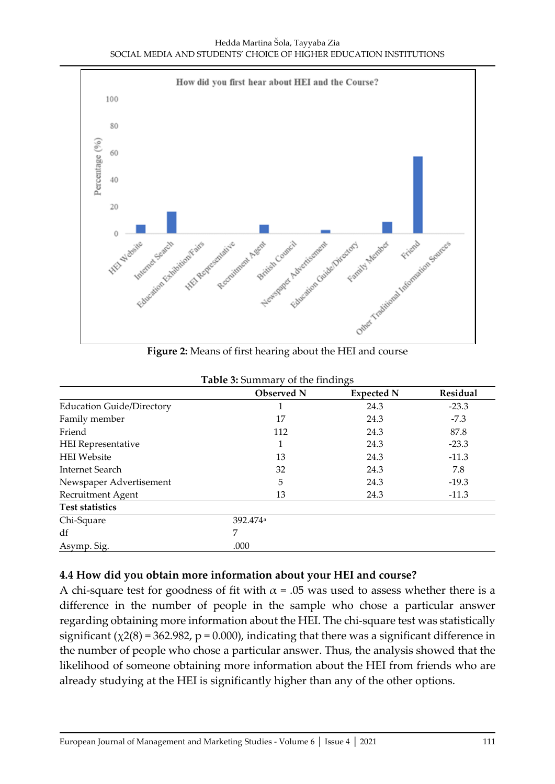Hedda Martina Šola, Tayyaba Zia SOCIAL MEDIA AND STUDENTS' CHOICE OF HIGHER EDUCATION INSTITUTIONS



**Figure 2:** Means of first hearing about the HEI and course

|                                  | <b>Observed N</b>    | <b>Expected N</b> | Residual |
|----------------------------------|----------------------|-------------------|----------|
| <b>Education Guide/Directory</b> |                      | 24.3              | $-23.3$  |
| Family member                    | 17                   | 24.3              | $-7.3$   |
| Friend                           | 112                  | 24.3              | 87.8     |
| <b>HEI</b> Representative        |                      | 24.3              | $-23.3$  |
| <b>HEI</b> Website               | 13                   | 24.3              | $-11.3$  |
| Internet Search                  | 32                   | 24.3              | 7.8      |
| Newspaper Advertisement          | 5                    | 24.3              | $-19.3$  |
| Recruitment Agent                | 13                   | 24.3              | $-11.3$  |
| <b>Test statistics</b>           |                      |                   |          |
| Chi-Square                       | 392.474 <sup>a</sup> |                   |          |
| df                               | 7                    |                   |          |
| Asymp. Sig.                      | .000                 |                   |          |

**Table 3:** Summary of the findings

### **4.4 How did you obtain more information about your HEI and course?**

A chi-square test for goodness of fit with  $\alpha$  = .05 was used to assess whether there is a difference in the number of people in the sample who chose a particular answer regarding obtaining more information about the HEI. The chi-square test was statistically significant ( $\chi$ 2(8) = 362.982, p = 0.000), indicating that there was a significant difference in the number of people who chose a particular answer. Thus, the analysis showed that the likelihood of someone obtaining more information about the HEI from friends who are already studying at the HEI is significantly higher than any of the other options.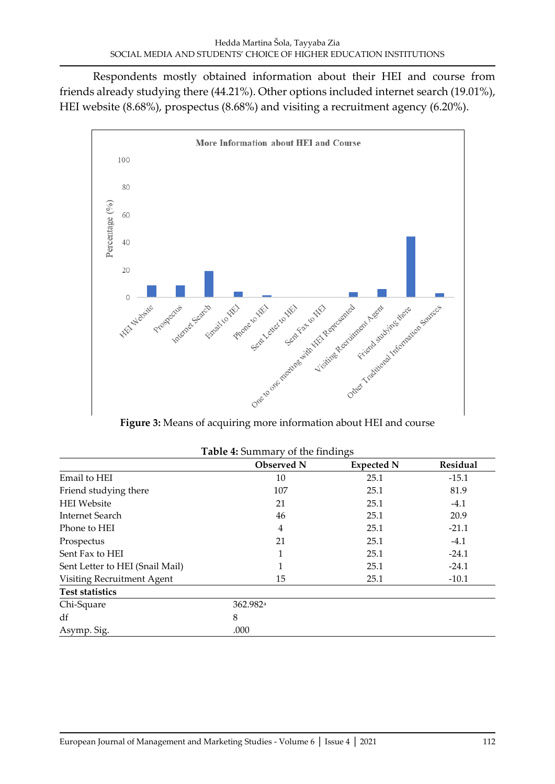Respondents mostly obtained information about their HEI and course from friends already studying there (44.21%). Other options included internet search (19.01%), HEI website (8.68%), prospectus (8.68%) and visiting a recruitment agency (6.20%).



**Figure 3:** Means of acquiring more information about HEI and course

|                                 | Observed N           | <b>Expected N</b> | <b>Residual</b> |
|---------------------------------|----------------------|-------------------|-----------------|
| Email to HEI                    | 10                   | 25.1              | $-15.1$         |
| Friend studying there           | 107                  | 25.1              | 81.9            |
| <b>HEI</b> Website              | 21                   | 25.1              | $-4.1$          |
| <b>Internet Search</b>          | 46                   | 25.1              | 20.9            |
| Phone to HEI                    | 4                    | 25.1              | $-21.1$         |
| Prospectus                      | 21                   | 25.1              | $-4.1$          |
| Sent Fax to HEI                 | 1                    | 25.1              | $-24.1$         |
| Sent Letter to HEI (Snail Mail) |                      | 25.1              | $-24.1$         |
| Visiting Recruitment Agent      | 15                   | 25.1              | $-10.1$         |
| <b>Test statistics</b>          |                      |                   |                 |
| Chi-Square                      | 362.982 <sup>a</sup> |                   |                 |
| df                              | 8                    |                   |                 |
| Asymp. Sig.                     | .000                 |                   |                 |

| Table 4: Summary of the findings |  |
|----------------------------------|--|
|----------------------------------|--|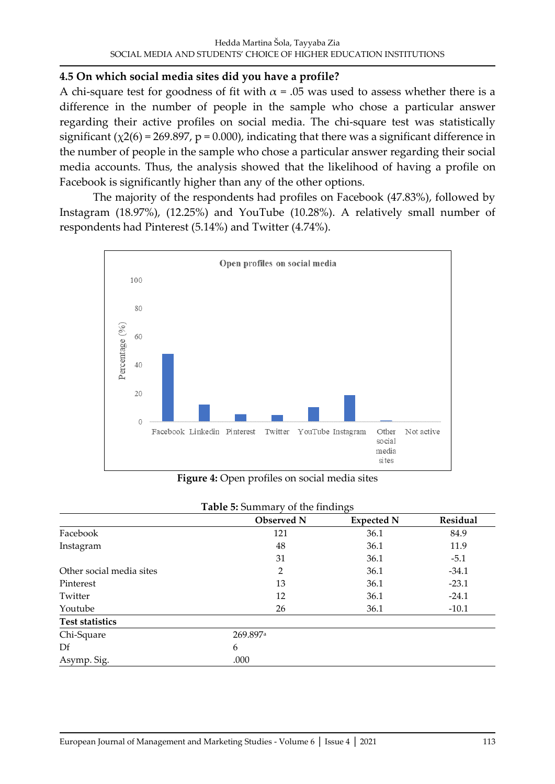### **4.5 On which social media sites did you have a profile?**

A chi-square test for goodness of fit with  $\alpha$  = .05 was used to assess whether there is a difference in the number of people in the sample who chose a particular answer regarding their active profiles on social media. The chi-square test was statistically significant ( $\chi$ 2(6) = 269.897, p = 0.000), indicating that there was a significant difference in the number of people in the sample who chose a particular answer regarding their social media accounts. Thus, the analysis showed that the likelihood of having a profile on Facebook is significantly higher than any of the other options.

The majority of the respondents had profiles on Facebook (47.83%), followed by Instagram (18.97%), (12.25%) and YouTube (10.28%). A relatively small number of respondents had Pinterest (5.14%) and Twitter (4.74%).



**Figure 4:** Open profiles on social media sites

|                          | Observed N           | <b>Expected N</b> | Residual |
|--------------------------|----------------------|-------------------|----------|
| Facebook                 | 121                  | 36.1              | 84.9     |
| Instagram                | 48                   | 36.1              | 11.9     |
|                          | 31                   | 36.1              | $-5.1$   |
| Other social media sites | 2                    | 36.1              | $-34.1$  |
| Pinterest                | 13                   | 36.1              | $-23.1$  |
| Twitter                  | 12                   | 36.1              | $-24.1$  |
| Youtube                  | 26                   | 36.1              | $-10.1$  |
| <b>Test statistics</b>   |                      |                   |          |
| Chi-Square               | 269.897 <sup>a</sup> |                   |          |
| Df                       | 6                    |                   |          |
| Asymp. Sig.              | .000                 |                   |          |

### **Table 5:** Summary of the findings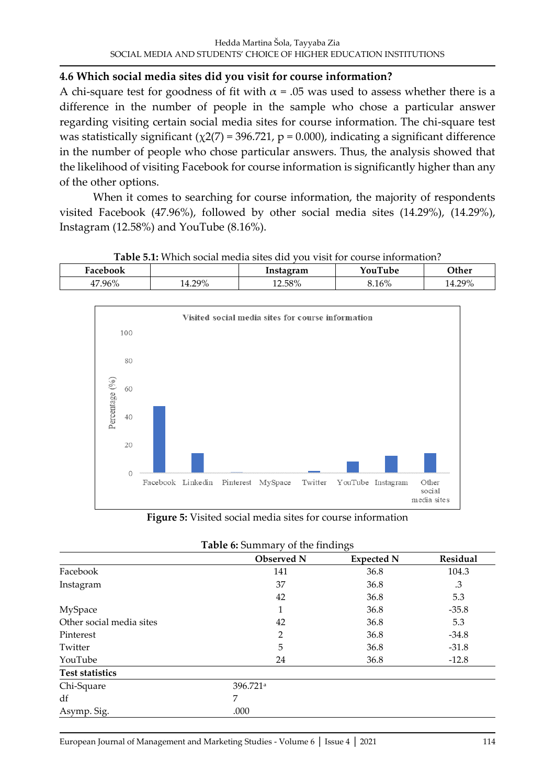### **4.6 Which social media sites did you visit for course information?**

A chi-square test for goodness of fit with  $\alpha$  = .05 was used to assess whether there is a difference in the number of people in the sample who chose a particular answer regarding visiting certain social media sites for course information. The chi-square test was statistically significant ( $\chi$ 2(7) = 396.721, p = 0.000), indicating a significant difference in the number of people who chose particular answers. Thus, the analysis showed that the likelihood of visiting Facebook for course information is significantly higher than any of the other options.

When it comes to searching for course information, the majority of respondents visited Facebook (47.96%), followed by other social media sites (14.29%), (14.29%), Instagram (12.58%) and YouTube (8.16%).

| <b>Table 5.1:</b> Which social media sites did you visit for course information? |        |           |         |        |
|----------------------------------------------------------------------------------|--------|-----------|---------|--------|
| Facebook                                                                         |        | Instagram | YouTube | Other  |
| 47.96%                                                                           | 14.29% | 12.58%    | 8.16%   | 14.29% |



**Figure 5:** Visited social media sites for course information

|                          | <b>Observed N</b>    | <b>Expected N</b> | Residual |
|--------------------------|----------------------|-------------------|----------|
| Facebook                 | 141                  | 36.8              | 104.3    |
| Instagram                | 37                   | 36.8              | .3       |
|                          | 42                   | 36.8              | 5.3      |
| MySpace                  | 1                    | 36.8              | $-35.8$  |
| Other social media sites | 42                   | 36.8              | 5.3      |
| Pinterest                | 2                    | 36.8              | $-34.8$  |
| Twitter                  | 5                    | 36.8              | $-31.8$  |
| YouTube                  | 24                   | 36.8              | $-12.8$  |
| <b>Test statistics</b>   |                      |                   |          |
| Chi-Square               | 396.721 <sup>a</sup> |                   |          |
| df                       | 7                    |                   |          |
| Asymp. Sig.              | .000                 |                   |          |

**Table 6:** Summary of the findings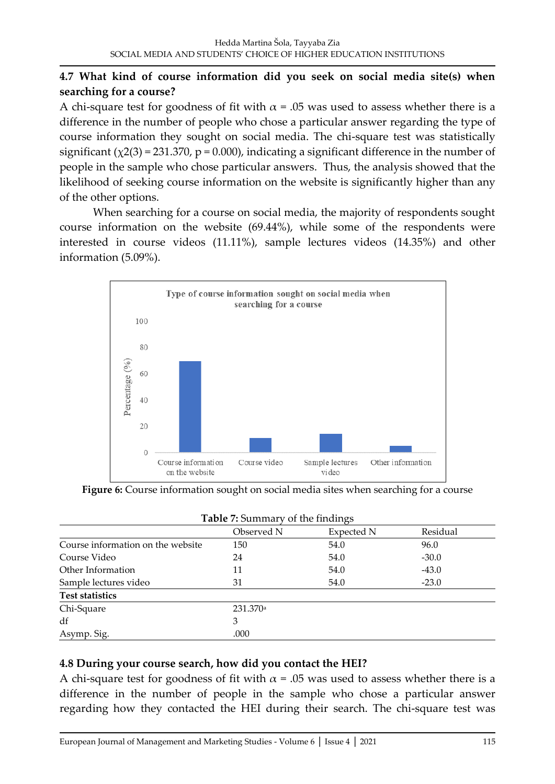## **4.7 What kind of course information did you seek on social media site(s) when searching for a course?**

A chi-square test for goodness of fit with  $\alpha$  = .05 was used to assess whether there is a difference in the number of people who chose a particular answer regarding the type of course information they sought on social media. The chi-square test was statistically significant ( $\chi$ 2(3) = 231.370, p = 0.000), indicating a significant difference in the number of people in the sample who chose particular answers. Thus, the analysis showed that the likelihood of seeking course information on the website is significantly higher than any of the other options.

When searching for a course on social media, the majority of respondents sought course information on the website (69.44%), while some of the respondents were interested in course videos (11.11%), sample lectures videos (14.35%) and other information (5.09%).



**Figure 6:** Course information sought on social media sites when searching for a course

| <b>Table 7:</b> Summary of the findings |                      |            |          |
|-----------------------------------------|----------------------|------------|----------|
|                                         | Observed N           | Expected N | Residual |
| Course information on the website       | 150                  | 54.0       | 96.0     |
| Course Video                            | 24                   | 54.0       | $-30.0$  |
| Other Information                       | 11                   | 54.0       | -43.0    |
| Sample lectures video                   | 31                   | 54.0       | $-23.0$  |
| <b>Test statistics</b>                  |                      |            |          |
| Chi-Square                              | 231.370 <sup>a</sup> |            |          |
| df                                      | 3                    |            |          |
| Asymp. Sig.                             | .000                 |            |          |

# **4.8 During your course search, how did you contact the HEI?**

A chi-square test for goodness of fit with  $\alpha$  = .05 was used to assess whether there is a difference in the number of people in the sample who chose a particular answer regarding how they contacted the HEI during their search. The chi-square test was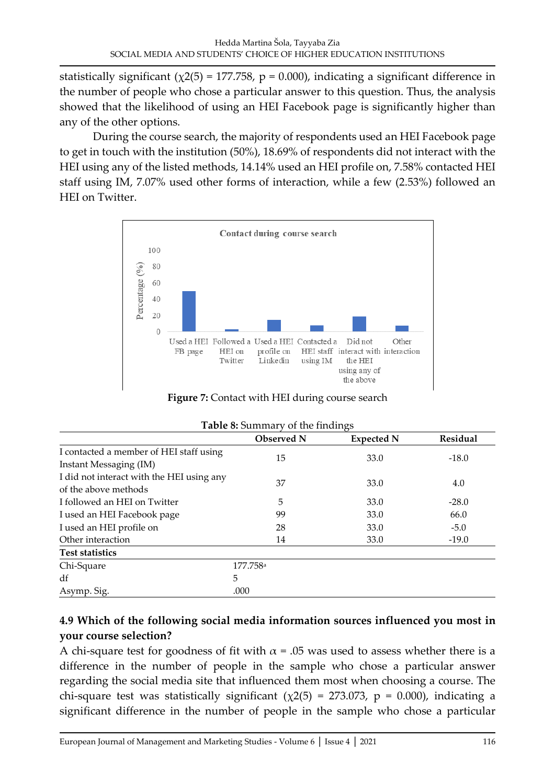statistically significant ( $\chi$ 2(5) = 177.758, p = 0.000), indicating a significant difference in the number of people who chose a particular answer to this question. Thus, the analysis showed that the likelihood of using an HEI Facebook page is significantly higher than any of the other options.

During the course search, the majority of respondents used an HEI Facebook page to get in touch with the institution (50%), 18.69% of respondents did not interact with the HEI using any of the listed methods, 14.14% used an HEI profile on, 7.58% contacted HEI staff using IM, 7.07% used other forms of interaction, while a few (2.53%) followed an HEI on Twitter.



**Figure 7:** Contact with HEI during course search

|                                                                   | <b>Table 0.</b> Duminary of the intentition<br><b>Observed N</b> | <b>Expected N</b> | <b>Residual</b> |
|-------------------------------------------------------------------|------------------------------------------------------------------|-------------------|-----------------|
| I contacted a member of HEI staff using<br>Instant Messaging (IM) | 15                                                               | 33.0              | $-18.0$         |
| I did not interact with the HEI using any<br>of the above methods | 37                                                               | 33.0              | 4.0             |
| I followed an HEI on Twitter                                      | 5                                                                | 33.0              | $-28.0$         |
| I used an HEI Facebook page                                       | 99                                                               | 33.0              | 66.0            |
| I used an HEI profile on                                          | 28                                                               | 33.0              | $-5.0$          |
| Other interaction                                                 | 14                                                               | 33.0              | $-19.0$         |
| <b>Test statistics</b>                                            |                                                                  |                   |                 |
| Chi-Square                                                        | 177.758 <sup>a</sup>                                             |                   |                 |
| df                                                                | 5                                                                |                   |                 |
| Asymp. Sig.                                                       | .000                                                             |                   |                 |

| Table 8: Summary of the findings |  |
|----------------------------------|--|
|----------------------------------|--|

## **4.9 Which of the following social media information sources influenced you most in your course selection?**

A chi-square test for goodness of fit with  $\alpha$  = .05 was used to assess whether there is a difference in the number of people in the sample who chose a particular answer regarding the social media site that influenced them most when choosing a course. The chi-square test was statistically significant ( $\chi$ 2(5) = 273.073, p = 0.000), indicating a significant difference in the number of people in the sample who chose a particular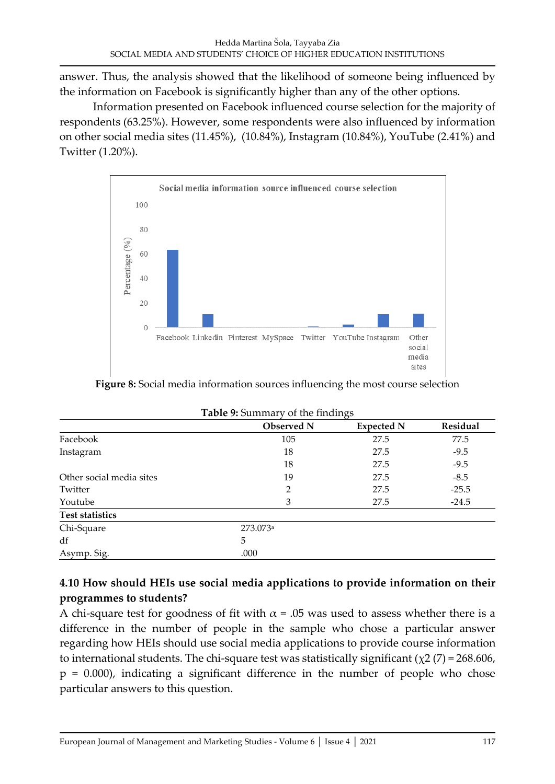answer. Thus, the analysis showed that the likelihood of someone being influenced by the information on Facebook is significantly higher than any of the other options.

Information presented on Facebook influenced course selection for the majority of respondents (63.25%). However, some respondents were also influenced by information on other social media sites (11.45%), (10.84%), Instagram (10.84%), YouTube (2.41%) and Twitter (1.20%).



**Figure 8:** Social media information sources influencing the most course selection

|                          | <b>Observed N</b>    | <b>Expected N</b> | Residual |
|--------------------------|----------------------|-------------------|----------|
| Facebook                 | 105                  | 27.5              | 77.5     |
| Instagram                | 18                   | 27.5              | $-9.5$   |
|                          | 18                   | 27.5              | $-9.5$   |
| Other social media sites | 19                   | 27.5              | $-8.5$   |
| Twitter                  | 2                    | 27.5              | $-25.5$  |
| Youtube                  | 3                    | 27.5              | $-24.5$  |
| <b>Test statistics</b>   |                      |                   |          |
| Chi-Square               | 273.073 <sup>a</sup> |                   |          |
| df                       | 5                    |                   |          |
| Asymp. Sig.              | .000                 |                   |          |

|  |  |  | Table 9: Summary of the findings |  |  |  |  |
|--|--|--|----------------------------------|--|--|--|--|
|--|--|--|----------------------------------|--|--|--|--|

## **4.10 How should HEIs use social media applications to provide information on their programmes to students?**

A chi-square test for goodness of fit with  $\alpha$  = .05 was used to assess whether there is a difference in the number of people in the sample who chose a particular answer regarding how HEIs should use social media applications to provide course information to international students. The chi-square test was statistically significant ( $\chi$ 2 (7) = 268.606,  $p = 0.000$ , indicating a significant difference in the number of people who chose particular answers to this question.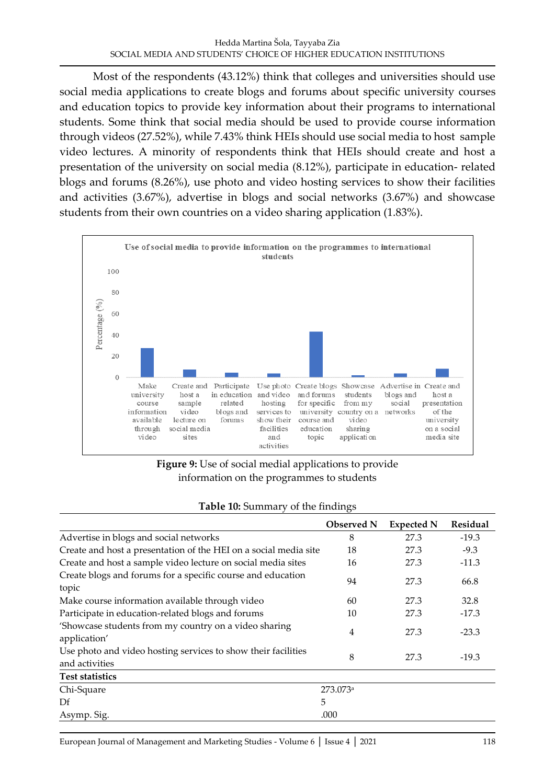Most of the respondents (43.12%) think that colleges and universities should use social media applications to create blogs and forums about specific university courses and education topics to provide key information about their programs to international students. Some think that social media should be used to provide course information through videos (27.52%), while 7.43% think HEIs should use social media to host sample video lectures. A minority of respondents think that HEIs should create and host a presentation of the university on social media (8.12%), participate in education- related blogs and forums (8.26%), use photo and video hosting services to show their facilities and activities (3.67%), advertise in blogs and social networks (3.67%) and showcase students from their own countries on a video sharing application (1.83%).



### **Figure 9:** Use of social medial applications to provide information on the programmes to students

|                                                                                 | Observed N           | <b>Expected N</b> | <b>Residual</b> |
|---------------------------------------------------------------------------------|----------------------|-------------------|-----------------|
| Advertise in blogs and social networks                                          | 8                    | 27.3              | $-19.3$         |
| Create and host a presentation of the HEI on a social media site                | 18                   | 27.3              | $-9.3$          |
| Create and host a sample video lecture on social media sites                    | 16                   | 27.3              | $-11.3$         |
| Create blogs and forums for a specific course and education<br>topic            | 94                   | 27.3              | 66.8            |
| Make course information available through video                                 | 60                   | 27.3              | 32.8            |
| Participate in education-related blogs and forums                               | 10                   | 27.3              | $-17.3$         |
| 'Showcase students from my country on a video sharing<br>application'           | 4                    | 27.3              | $-23.3$         |
| Use photo and video hosting services to show their facilities<br>and activities | 8                    | 27.3              | $-19.3$         |
| <b>Test statistics</b>                                                          |                      |                   |                 |
| Chi-Square                                                                      | 273.073 <sup>a</sup> |                   |                 |
| Df                                                                              | 5                    |                   |                 |
| Asymp. Sig.                                                                     | .000                 |                   |                 |

#### **Table 10:** Summary of the findings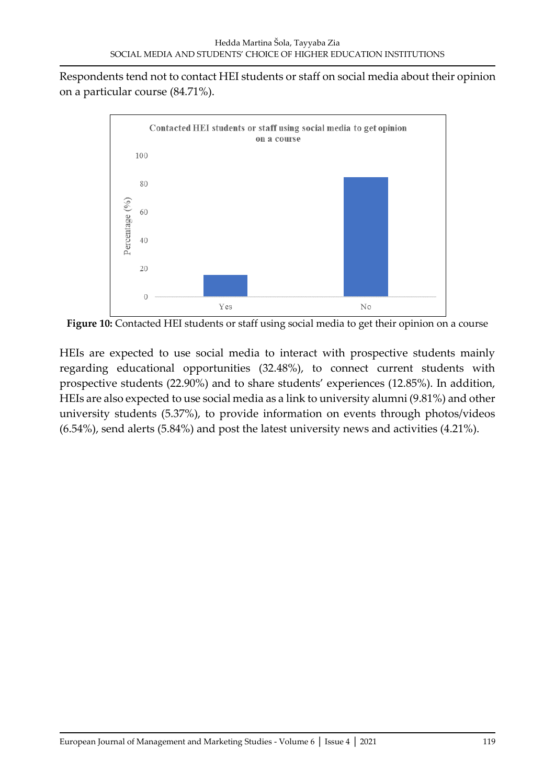Respondents tend not to contact HEI students or staff on social media about their opinion on a particular course (84.71%).



**Figure 10:** Contacted HEI students or staff using social media to get their opinion on a course

HEIs are expected to use social media to interact with prospective students mainly regarding educational opportunities (32.48%), to connect current students with prospective students (22.90%) and to share students' experiences (12.85%). In addition, HEIs are also expected to use social media as a link to university alumni (9.81%) and other university students (5.37%), to provide information on events through photos/videos (6.54%), send alerts (5.84%) and post the latest university news and activities (4.21%).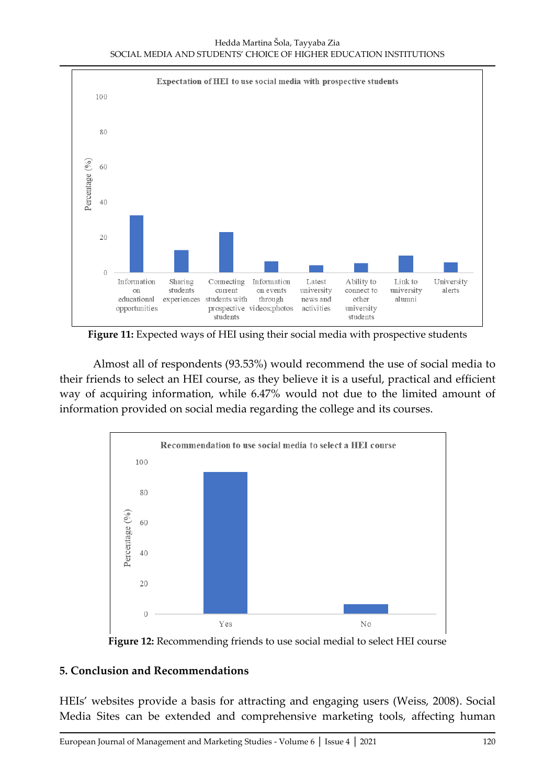Hedda Martina Šola, Tayyaba Zia SOCIAL MEDIA AND STUDENTS' CHOICE OF HIGHER EDUCATION INSTITUTIONS



**Figure 11:** Expected ways of HEI using their social media with prospective students

Almost all of respondents (93.53%) would recommend the use of social media to their friends to select an HEI course, as they believe it is a useful, practical and efficient way of acquiring information, while 6.47% would not due to the limited amount of information provided on social media regarding the college and its courses.



**Figure 12:** Recommending friends to use social medial to select HEI course

### **5. Conclusion and Recommendations**

HEIs' websites provide a basis for attracting and engaging users (Weiss, 2008). Social Media Sites can be extended and comprehensive marketing tools, affecting human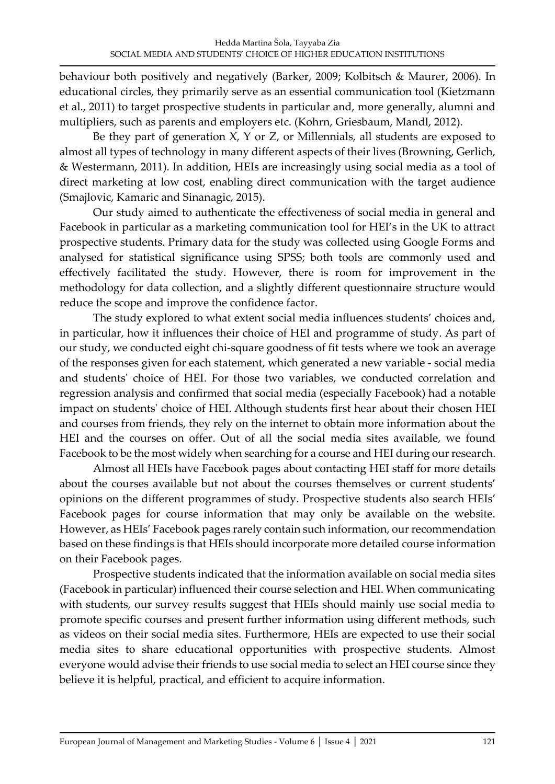behaviour both positively and negatively (Barker, 2009; Kolbitsch & Maurer, 2006). In educational circles, they primarily serve as an essential communication tool (Kietzmann et al., 2011) to target prospective students in particular and, more generally, alumni and multipliers, such as parents and employers etc. (Kohrn, Griesbaum, Mandl, 2012).

Be they part of generation  $X$ ,  $Y$  or  $Z$ , or Millennials, all students are exposed to almost all types of technology in many different aspects of their lives (Browning, Gerlich, & Westermann, 2011). In addition, HEIs are increasingly using social media as a tool of direct marketing at low cost, enabling direct communication with the target audience (Smajlovic, Kamaric and Sinanagic, 2015).

Our study aimed to authenticate the effectiveness of social media in general and Facebook in particular as a marketing communication tool for HEI's in the UK to attract prospective students. Primary data for the study was collected using Google Forms and analysed for statistical significance using SPSS; both tools are commonly used and effectively facilitated the study. However, there is room for improvement in the methodology for data collection, and a slightly different questionnaire structure would reduce the scope and improve the confidence factor.

The study explored to what extent social media influences students' choices and, in particular, how it influences their choice of HEI and programme of study. As part of our study, we conducted eight chi-square goodness of fit tests where we took an average of the responses given for each statement, which generated a new variable - social media and students' choice of HEI. For those two variables, we conducted correlation and regression analysis and confirmed that social media (especially Facebook) had a notable impact on students' choice of HEI. Although students first hear about their chosen HEI and courses from friends, they rely on the internet to obtain more information about the HEI and the courses on offer. Out of all the social media sites available, we found Facebook to be the most widely when searching for a course and HEI during our research.

Almost all HEIs have Facebook pages about contacting HEI staff for more details about the courses available but not about the courses themselves or current students' opinions on the different programmes of study. Prospective students also search HEIs' Facebook pages for course information that may only be available on the website. However, as HEIs' Facebook pages rarely contain such information, our recommendation based on these findings is that HEIs should incorporate more detailed course information on their Facebook pages.

Prospective students indicated that the information available on social media sites (Facebook in particular) influenced their course selection and HEI. When communicating with students, our survey results suggest that HEIs should mainly use social media to promote specific courses and present further information using different methods, such as videos on their social media sites. Furthermore, HEIs are expected to use their social media sites to share educational opportunities with prospective students. Almost everyone would advise their friends to use social media to select an HEI course since they believe it is helpful, practical, and efficient to acquire information.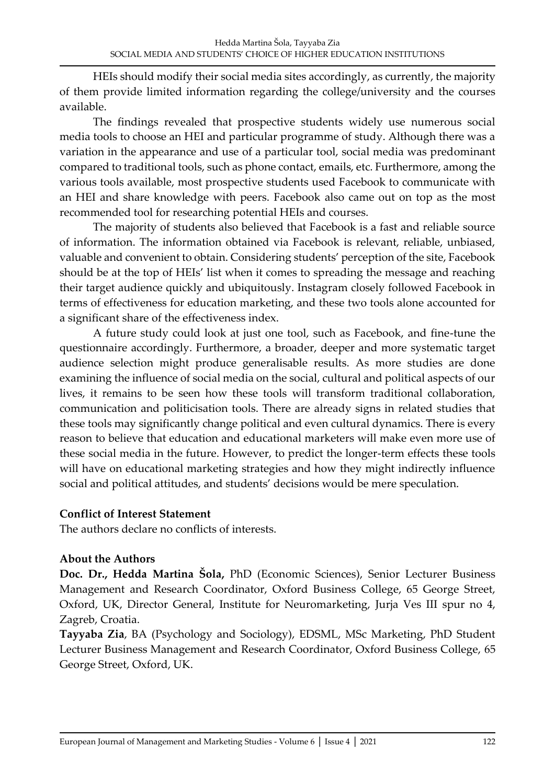HEIs should modify their social media sites accordingly, as currently, the majority of them provide limited information regarding the college/university and the courses available.

The findings revealed that prospective students widely use numerous social media tools to choose an HEI and particular programme of study. Although there was a variation in the appearance and use of a particular tool, social media was predominant compared to traditional tools, such as phone contact, emails, etc. Furthermore, among the various tools available, most prospective students used Facebook to communicate with an HEI and share knowledge with peers. Facebook also came out on top as the most recommended tool for researching potential HEIs and courses.

The majority of students also believed that Facebook is a fast and reliable source of information. The information obtained via Facebook is relevant, reliable, unbiased, valuable and convenient to obtain. Considering students' perception of the site, Facebook should be at the top of HEIs' list when it comes to spreading the message and reaching their target audience quickly and ubiquitously. Instagram closely followed Facebook in terms of effectiveness for education marketing, and these two tools alone accounted for a significant share of the effectiveness index.

A future study could look at just one tool, such as Facebook, and fine-tune the questionnaire accordingly. Furthermore, a broader, deeper and more systematic target audience selection might produce generalisable results. As more studies are done examining the influence of social media on the social, cultural and political aspects of our lives, it remains to be seen how these tools will transform traditional collaboration, communication and politicisation tools. There are already signs in related studies that these tools may significantly change political and even cultural dynamics. There is every reason to believe that education and educational marketers will make even more use of these social media in the future. However, to predict the longer-term effects these tools will have on educational marketing strategies and how they might indirectly influence social and political attitudes, and students' decisions would be mere speculation.

### **Conflict of Interest Statement**

The authors declare no conflicts of interests.

### **About the Authors**

**Doc. Dr., Hedda Martina Šola,** PhD (Economic Sciences), Senior Lecturer Business Management and Research Coordinator, Oxford Business College, 65 George Street, Oxford, UK, Director General, Institute for Neuromarketing, Jurja Ves III spur no 4, Zagreb, Croatia.

**Tayyaba Zia**, BA (Psychology and Sociology), EDSML, MSc Marketing, PhD Student Lecturer Business Management and Research Coordinator, Oxford Business College, 65 George Street, Oxford, UK.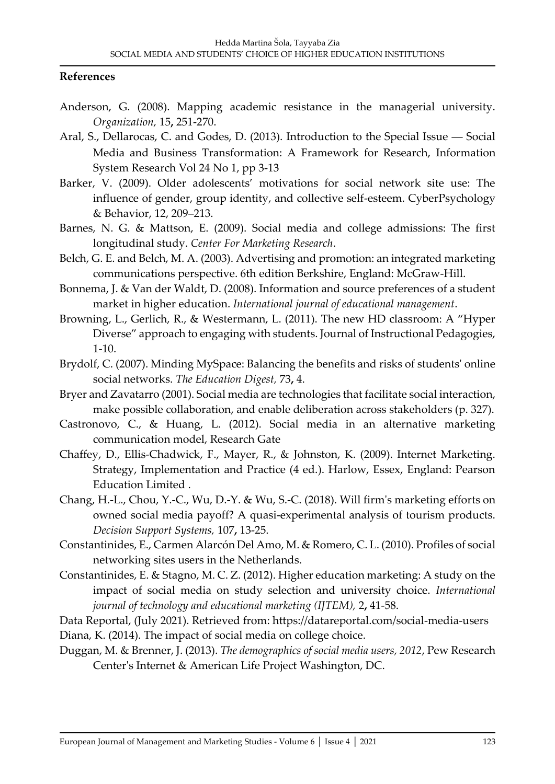### **References**

- Anderson, G. (2008). Mapping academic resistance in the managerial university. *Organization,* 15**,** 251-270.
- Aral, S., Dellarocas, C. and Godes, D. (2013). Introduction to the Special Issue Social Media and Business Transformation: A Framework for Research, Information System Research Vol 24 No 1, pp 3-13
- Barker, V. (2009). Older adolescents' motivations for social network site use: The influence of gender, group identity, and collective self-esteem. CyberPsychology & Behavior, 12, 209–213.
- Barnes, N. G. & Mattson, E. (2009). Social media and college admissions: The first longitudinal study. *Center For Marketing Research*.
- Belch, G. E. and Belch, M. A. (2003). Advertising and promotion: an integrated marketing communications perspective. 6th edition Berkshire, England: McGraw-Hill.
- Bonnema, J. & Van der Waldt, D. (2008). Information and source preferences of a student market in higher education. *International journal of educational management*.
- Browning, L., Gerlich, R., & Westermann, L. (2011). The new HD classroom: A "Hyper Diverse" approach to engaging with students. Journal of Instructional Pedagogies, 1-10.
- Brydolf, C. (2007). Minding MySpace: Balancing the benefits and risks of students' online social networks. *The Education Digest,* 73**,** 4.
- Bryer and Zavatarro (2001). Social media are technologies that facilitate social interaction, make possible collaboration, and enable deliberation across stakeholders (p. 327).
- Castronovo, C., & Huang, L. (2012). Social media in an alternative marketing communication model, Research Gate
- Chaffey, D., Ellis-Chadwick, F., Mayer, R., & Johnston, K. (2009). Internet Marketing. Strategy, Implementation and Practice (4 ed.). Harlow, Essex, England: Pearson Education Limited .
- Chang, H.-L., Chou, Y.-C., Wu, D.-Y. & Wu, S.-C. (2018). Will firm's marketing efforts on owned social media payoff? A quasi-experimental analysis of tourism products. *Decision Support Systems,* 107**,** 13-25.
- Constantinides, E., Carmen Alarcón Del Amo, M. & Romero, C. L. (2010). Profiles of social networking sites users in the Netherlands.
- Constantinides, E. & Stagno, M. C. Z. (2012). Higher education marketing: A study on the impact of social media on study selection and university choice. *International journal of technology and educational marketing (IJTEM),* 2**,** 41-58.
- Data Reportal, (July 2021). Retrieved from: https://datareportal.com/social-media-users

Diana, K. (2014). The impact of social media on college choice.

Duggan, M. & Brenner, J. (2013). *The demographics of social media users, 2012*, Pew Research Center's Internet & American Life Project Washington, DC.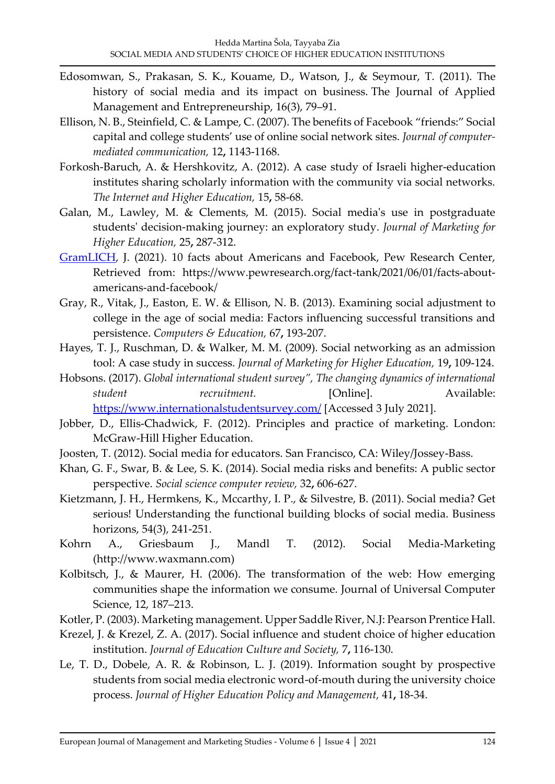- Edosomwan, S., Prakasan, S. K., Kouame, D., Watson, J., & Seymour, T. (2011). The history of social media and its impact on business. The Journal of Applied Management and Entrepreneurship, 16(3), 79–91.
- Ellison, N. B., Steinfield, C. & Lampe, C. (2007). The benefits of Facebook "friends:" Social capital and college students' use of online social network sites. *Journal of computer‐ mediated communication,* 12**,** 1143-1168.
- Forkosh-Baruch, A. & Hershkovitz, A. (2012). A case study of Israeli higher-education institutes sharing scholarly information with the community via social networks. *The Internet and Higher Education,* 15**,** 58-68.
- Galan, M., Lawley, M. & Clements, M. (2015). Social media's use in postgraduate students' decision-making journey: an exploratory study. *Journal of Marketing for Higher Education,* 25**,** 287-312.
- [GramLICH,](https://www.pewresearch.org/staff/john-gramlich) J. (2021). 10 facts about Americans and Facebook, Pew Research Center, Retrieved from: https://www.pewresearch.org/fact-tank/2021/06/01/facts-aboutamericans-and-facebook/
- Gray, R., Vitak, J., Easton, E. W. & Ellison, N. B. (2013). Examining social adjustment to college in the age of social media: Factors influencing successful transitions and persistence. *Computers & Education,* 67**,** 193-207.
- Hayes, T. J., Ruschman, D. & Walker, M. M. (2009). Social networking as an admission tool: A case study in success. *Journal of Marketing for Higher Education,* 19**,** 109-124.
- Hobsons. (2017). *Global international student survey", The changing dynamics of international student recruitment.* [Online]. Available: https:/[/www.internationalstudentsurvey.com/](http://www.internationalstudentsurvey.com/) [Accessed 3 July 2021].
- Jobber, D., Ellis-Chadwick, F. (2012). Principles and practice of marketing. London: McGraw-Hill Higher Education.
- Joosten, T. (2012). Social media for educators. San Francisco, CA: Wiley/Jossey-Bass.
- Khan, G. F., Swar, B. & Lee, S. K. (2014). Social media risks and benefits: A public sector perspective. *Social science computer review,* 32**,** 606-627.
- Kietzmann, J. H., Hermkens, K., Mccarthy, I. P., & Silvestre, B. (2011). Social media? Get serious! Understanding the functional building blocks of social media. Business horizons, 54(3), 241-251.
- Kohrn A., Griesbaum J., Mandl T. (2012). Social Media-Marketing (http://www.waxmann.com)
- Kolbitsch, J., & Maurer, H. (2006). The transformation of the web: How emerging communities shape the information we consume. Journal of Universal Computer Science, 12, 187–213.
- Kotler, P. (2003). Marketing management. Upper Saddle River, N.J: Pearson Prentice Hall.
- Krezel, J. & Krezel, Z. A. (2017). Social influence and student choice of higher education institution. *Journal of Education Culture and Society,* 7**,** 116-130.
- Le, T. D., Dobele, A. R. & Robinson, L. J. (2019). Information sought by prospective students from social media electronic word-of-mouth during the university choice process. *Journal of Higher Education Policy and Management,* 41**,** 18-34.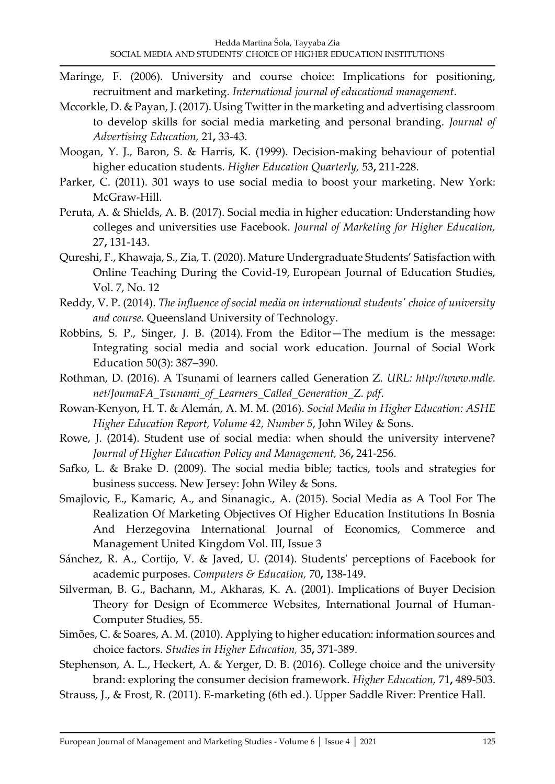- Maringe, F. (2006). University and course choice: Implications for positioning, recruitment and marketing. *International journal of educational management*.
- Mccorkle, D. & Payan, J. (2017). Using Twitter in the marketing and advertising classroom to develop skills for social media marketing and personal branding. *Journal of Advertising Education,* 21**,** 33-43.
- Moogan, Y. J., Baron, S. & Harris, K. (1999). Decision‐making behaviour of potential higher education students. *Higher Education Quarterly,* 53**,** 211-228.
- Parker, C. (2011). 301 ways to use social media to boost your marketing. New York: McGraw-Hill.
- Peruta, A. & Shields, A. B. (2017). Social media in higher education: Understanding how colleges and universities use Facebook. *Journal of Marketing for Higher Education,* 27**,** 131-143.
- Qureshi, F., Khawaja, S., Zia, T. (2020). Mature Undergraduate Students' Satisfaction with Online Teaching During the Covid-19, European Journal of Education Studies, Vol. 7, No. 12
- Reddy, V. P. (2014). *The influence of social media on international students' choice of university and course.* Queensland University of Technology.
- Robbins, S. P., Singer, J. B. (2014). From the Editor—The medium is the message: Integrating social media and social work education. Journal of Social Work Education 50(3): 387–390.
- Rothman, D. (2016). A Tsunami of learners called Generation Z. *URL: http://www.mdle. net/JoumaFA\_Tsunami\_of\_Learners\_Called\_Generation\_Z. pdf*.
- Rowan-Kenyon, H. T. & Alemán, A. M. M. (2016). *Social Media in Higher Education: ASHE Higher Education Report, Volume 42, Number 5*, John Wiley & Sons.
- Rowe, J. (2014). Student use of social media: when should the university intervene? *Journal of Higher Education Policy and Management,* 36**,** 241-256.
- Safko, L. & Brake D. (2009). The social media bible; tactics, tools and strategies for business success. New Jersey: John Wiley & Sons.
- Smajlovic, E., Kamaric, A., and Sinanagic., A. (2015). Social Media as A Tool For The Realization Of Marketing Objectives Of Higher Education Institutions In Bosnia And Herzegovina International Journal of Economics, Commerce and Management United Kingdom Vol. III, Issue 3
- Sánchez, R. A., Cortijo, V. & Javed, U. (2014). Students' perceptions of Facebook for academic purposes. *Computers & Education,* 70**,** 138-149.
- Silverman, B. G., Bachann, M., Akharas, K. A. (2001). Implications of Buyer Decision Theory for Design of Ecommerce Websites, International Journal of Human-Computer Studies, 55.
- Simões, C. & Soares, A. M. (2010). Applying to higher education: information sources and choice factors. *Studies in Higher Education,* 35**,** 371-389.
- Stephenson, A. L., Heckert, A. & Yerger, D. B. (2016). College choice and the university brand: exploring the consumer decision framework. *Higher Education,* 71**,** 489-503.
- Strauss, J., & Frost, R. (2011). E-marketing (6th ed.). Upper Saddle River: Prentice Hall.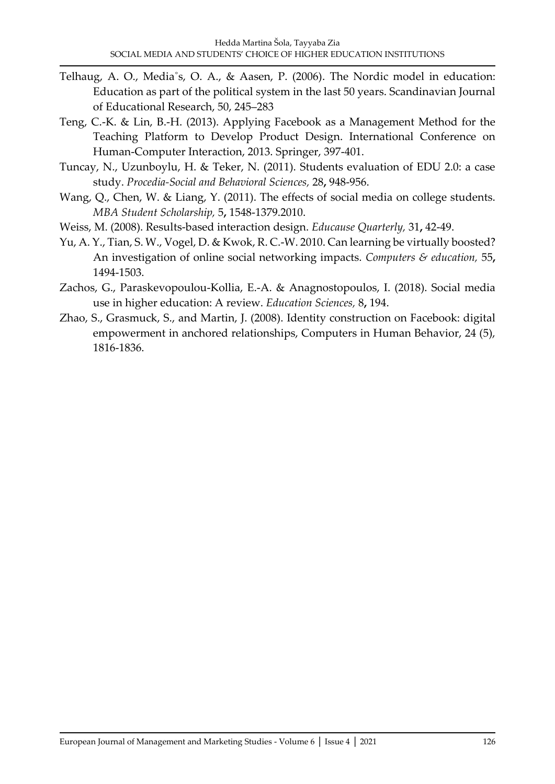- Telhaug, A. O., Media˚s, O. A., & Aasen, P. (2006). The Nordic model in education: Education as part of the political system in the last 50 years. Scandinavian Journal of Educational Research, 50, 245–283
- Teng, C.-K. & Lin, B.-H. (2013). Applying Facebook as a Management Method for the Teaching Platform to Develop Product Design. International Conference on Human-Computer Interaction, 2013. Springer, 397-401.
- Tuncay, N., Uzunboylu, H. & Teker, N. (2011). Students evaluation of EDU 2.0: a case study. *Procedia-Social and Behavioral Sciences,* 28**,** 948-956.
- Wang, Q., Chen, W. & Liang, Y. (2011). The effects of social media on college students. *MBA Student Scholarship,* 5**,** 1548-1379.2010.
- Weiss, M. (2008). Results-based interaction design. *Educause Quarterly,* 31**,** 42-49.
- Yu, A. Y., Tian, S. W., Vogel, D. & Kwok, R. C.-W. 2010. Can learning be virtually boosted? An investigation of online social networking impacts. *Computers & education,* 55**,** 1494-1503.
- Zachos, G., Paraskevopoulou-Kollia, E.-A. & Anagnostopoulos, I. (2018). Social media use in higher education: A review. *Education Sciences,* 8**,** 194.
- Zhao, S., Grasmuck, S., and Martin, J. (2008). Identity construction on Facebook: digital empowerment in anchored relationships, Computers in Human Behavior, 24 (5), 1816-1836.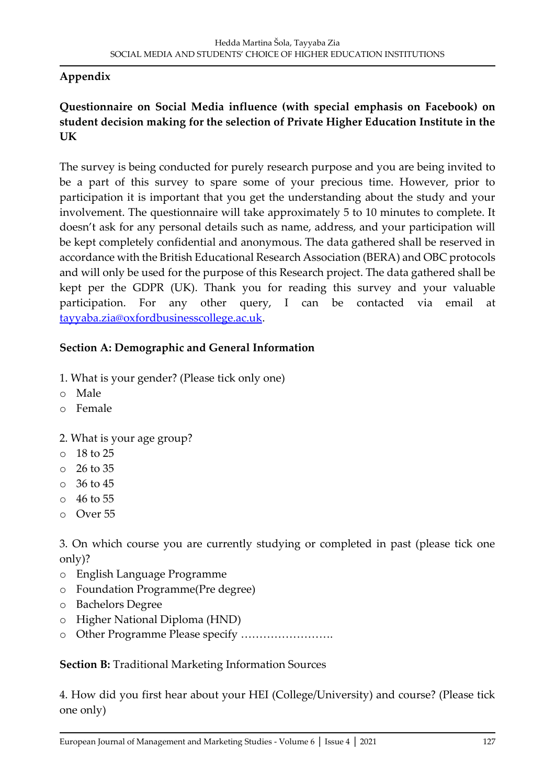## **Appendix**

## **Questionnaire on Social Media influence (with special emphasis on Facebook) on student decision making for the selection of Private Higher Education Institute in the UK**

The survey is being conducted for purely research purpose and you are being invited to be a part of this survey to spare some of your precious time. However, prior to participation it is important that you get the understanding about the study and your involvement. The questionnaire will take approximately 5 to 10 minutes to complete. It doesn't ask for any personal details such as name, address, and your participation will be kept completely confidential and anonymous. The data gathered shall be reserved in accordance with the British Educational Research Association (BERA) and OBC protocols and will only be used for the purpose of this Research project. The data gathered shall be kept per the GDPR (UK). Thank you for reading this survey and your valuable participation. For any other query, I can be contacted via email at [tayyaba.zia@oxfordbusinesscollege.ac.uk.](mailto:tayyaba.zia@oxfordbusinesscollege.ac.uk)

## **Section A: Demographic and General Information**

- 1. What is your gender? (Please tick only one)
- o Male
- o Female
- 2. What is your age group?
- o 18 to 25
- o 26 to 35
- o 36 to 45
- o 46 to 55
- o Over 55

3. On which course you are currently studying or completed in past (please tick one only)?

- o English Language Programme
- o Foundation Programme(Pre degree)
- o Bachelors Degree
- o Higher National Diploma (HND)
- o Other Programme Please specify …………………….

**Section B:** Traditional Marketing Information Sources

4. How did you first hear about your HEI (College/University) and course? (Please tick one only)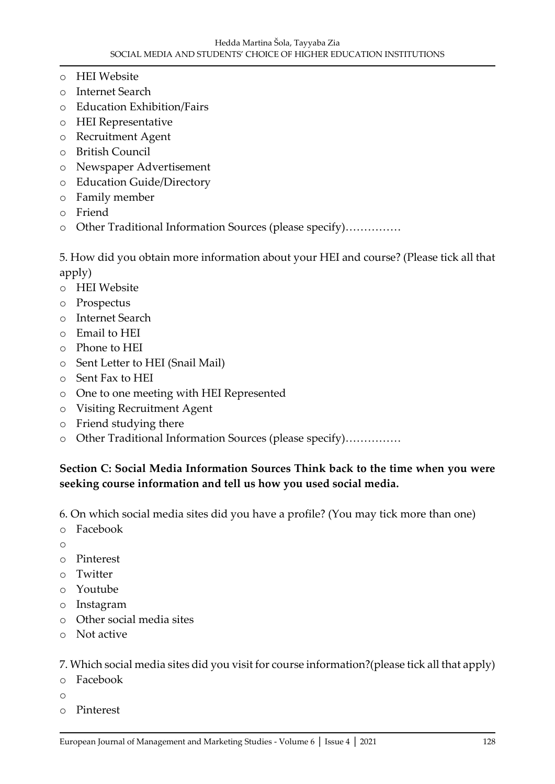- o HEI Website
- o Internet Search
- o Education Exhibition/Fairs
- o HEI Representative
- o Recruitment Agent
- o British Council
- o Newspaper Advertisement
- o Education Guide/Directory
- o Family member
- o Friend
- o Other Traditional Information Sources (please specify)……………

5. How did you obtain more information about your HEI and course? (Please tick all that apply)

- o HEI Website
- o Prospectus
- o Internet Search
- o Email to HEI
- o Phone to HEI
- o Sent Letter to HEI (Snail Mail)
- o Sent Fax to HEI
- o One to one meeting with HEI Represented
- o Visiting Recruitment Agent
- o Friend studying there
- o Other Traditional Information Sources (please specify)……………

### **Section C: Social Media Information Sources Think back to the time when you were seeking course information and tell us how you used social media.**

- 6. On which social media sites did you have a profile? (You may tick more than one)
- o Facebook
- o
- o Pinterest
- o Twitter
- o Youtube
- o Instagram
- o Other social media sites
- o Not active

### 7. Which social media sites did you visit for course information?(please tick all that apply)

- o Facebook
- o
- o Pinterest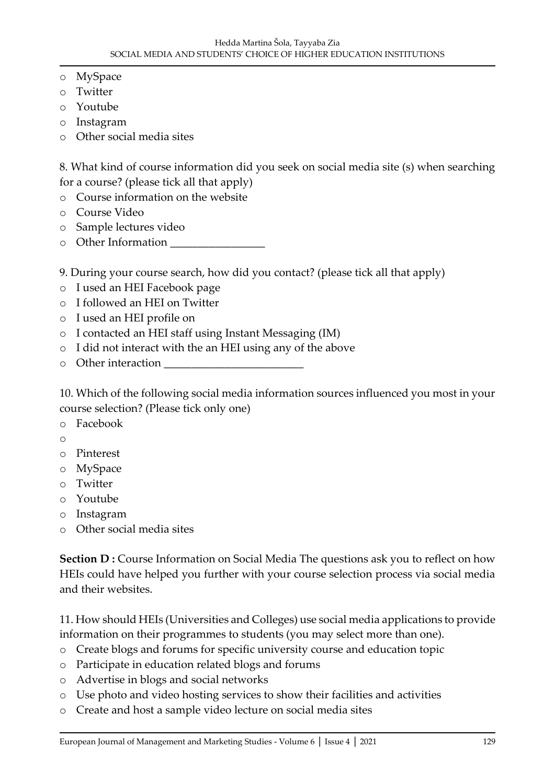- o MySpace
- o Twitter
- o Youtube
- o Instagram
- o Other social media sites

8. What kind of course information did you seek on social media site (s) when searching for a course? (please tick all that apply)

- o Course information on the website
- o Course Video
- o Sample lectures video
- o Other Information \_\_\_\_\_\_\_\_\_\_\_\_\_\_\_\_\_

9. During your course search, how did you contact? (please tick all that apply)

- o I used an HEI Facebook page
- o I followed an HEI on Twitter
- o I used an HEI profile on
- o I contacted an HEI staff using Instant Messaging (IM)
- o I did not interact with the an HEI using any of the above
- $\circ$  Other interaction

10. Which of the following social media information sources influenced you most in your course selection? (Please tick only one)

- o Facebook
- o
- o Pinterest
- o MySpace
- o Twitter
- o Youtube
- o Instagram
- o Other social media sites

**Section D :** Course Information on Social Media The questions ask you to reflect on how HEIs could have helped you further with your course selection process via social media and their websites.

11. How should HEIs (Universities and Colleges) use social media applications to provide information on their programmes to students (you may select more than one).

- o Create blogs and forums for specific university course and education topic
- o Participate in education related blogs and forums
- o Advertise in blogs and social networks
- o Use photo and video hosting services to show their facilities and activities
- o Create and host a sample video lecture on social media sites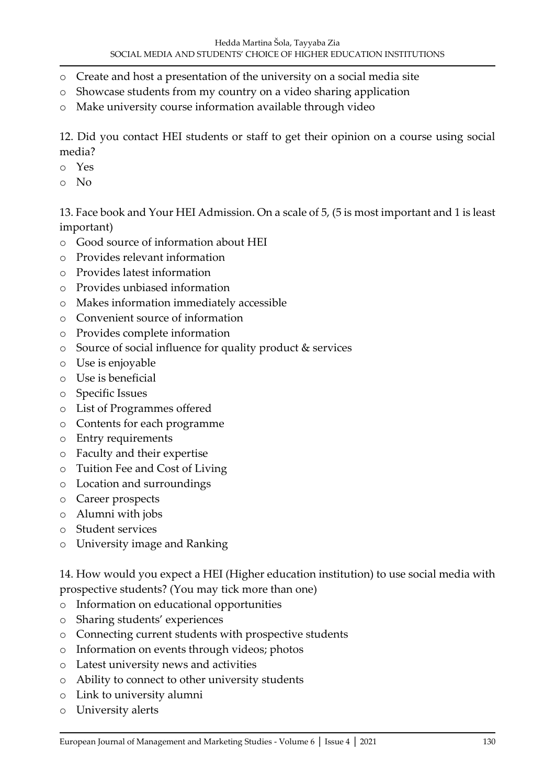- o Create and host a presentation of the university on a social media site
- o Showcase students from my country on a video sharing application
- o Make university course information available through video

12. Did you contact HEI students or staff to get their opinion on a course using social media?

- o Yes
- o No

13. Face book and Your HEI Admission. On a scale of 5, (5 is most important and 1 is least important)

- o Good source of information about HEI
- o Provides relevant information
- o Provides latest information
- o Provides unbiased information
- o Makes information immediately accessible
- o Convenient source of information
- o Provides complete information
- o Source of social influence for quality product & services
- o Use is enjoyable
- o Use is beneficial
- o Specific Issues
- o List of Programmes offered
- o Contents for each programme
- o Entry requirements
- o Faculty and their expertise
- o Tuition Fee and Cost of Living
- o Location and surroundings
- o Career prospects
- o Alumni with jobs
- o Student services
- o University image and Ranking

14. How would you expect a HEI (Higher education institution) to use social media with prospective students? (You may tick more than one)

- o Information on educational opportunities
- o Sharing students' experiences
- o Connecting current students with prospective students
- o Information on events through videos; photos
- o Latest university news and activities
- o Ability to connect to other university students
- o Link to university alumni
- o University alerts